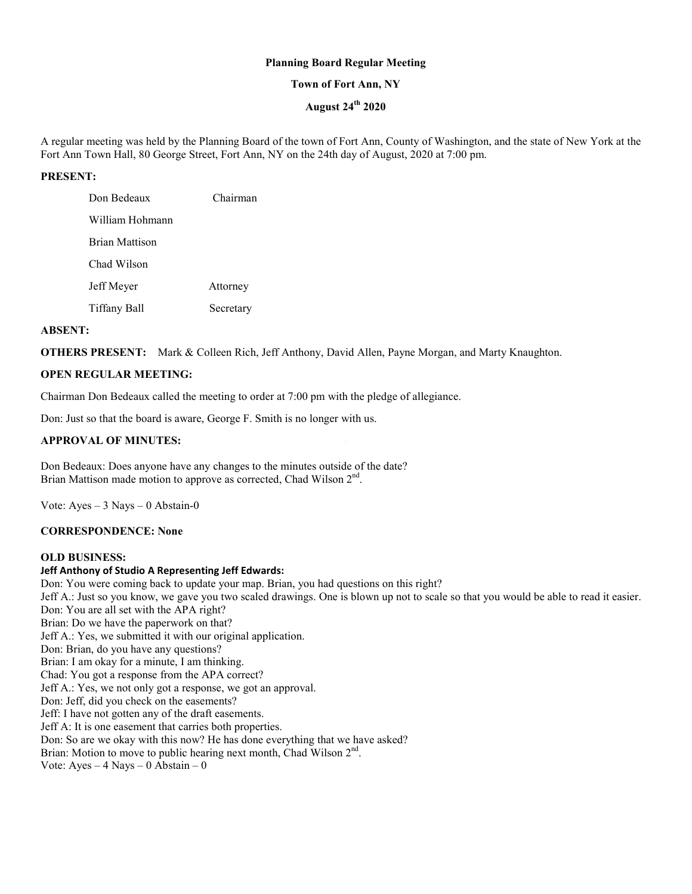# **Planning Board Regular Meeting**

# **Town of Fort Ann, NY**

# **August 24th 2020**

A regular meeting was held by the Planning Board of the town of Fort Ann, County of Washington, and the state of New York at the Fort Ann Town Hall, 80 George Street, Fort Ann, NY on the 24th day of August, 2020 at 7:00 pm.

# **PRESENT:**

| Don Bedeaux           | Chairman  |
|-----------------------|-----------|
| William Hohmann       |           |
| <b>Brian Mattison</b> |           |
| Chad Wilson           |           |
| Jeff Meyer            | Attorney  |
| Tiffany Ball          | Secretary |

#### **ABSENT:**

**OTHERS PRESENT:** Mark & Colleen Rich, Jeff Anthony, David Allen, Payne Morgan, and Marty Knaughton.

## **OPEN REGULAR MEETING:**

Chairman Don Bedeaux called the meeting to order at 7:00 pm with the pledge of allegiance.

Don: Just so that the board is aware, George F. Smith is no longer with us.

## **APPROVAL OF MINUTES:**

Don Bedeaux: Does anyone have any changes to the minutes outside of the date? Brian Mattison made motion to approve as corrected, Chad Wilson 2<sup>nd</sup>.

Vote:  $Ayes - 3$  Nays  $- 0$  Abstain-0

#### **CORRESPONDENCE: None**

#### **OLD BUSINESS:**

# **Jeff Anthony of Studio A Representing Jeff Edwards:**

Don: You were coming back to update your map. Brian, you had questions on this right? Jeff A.: Just so you know, we gave you two scaled drawings. One is blown up not to scale so that you would be able to read it easier. Don: You are all set with the APA right? Brian: Do we have the paperwork on that? Jeff A.: Yes, we submitted it with our original application. Don: Brian, do you have any questions? Brian: I am okay for a minute, I am thinking. Chad: You got a response from the APA correct? Jeff A.: Yes, we not only got a response, we got an approval. Don: Jeff, did you check on the easements? Jeff: I have not gotten any of the draft easements. Jeff A: It is one easement that carries both properties. Don: So are we okay with this now? He has done everything that we have asked? Brian: Motion to move to public hearing next month, Chad Wilson  $2<sup>nd</sup>$ . Vote:  $Ayes - 4$  Nays  $- 0$  Abstain  $- 0$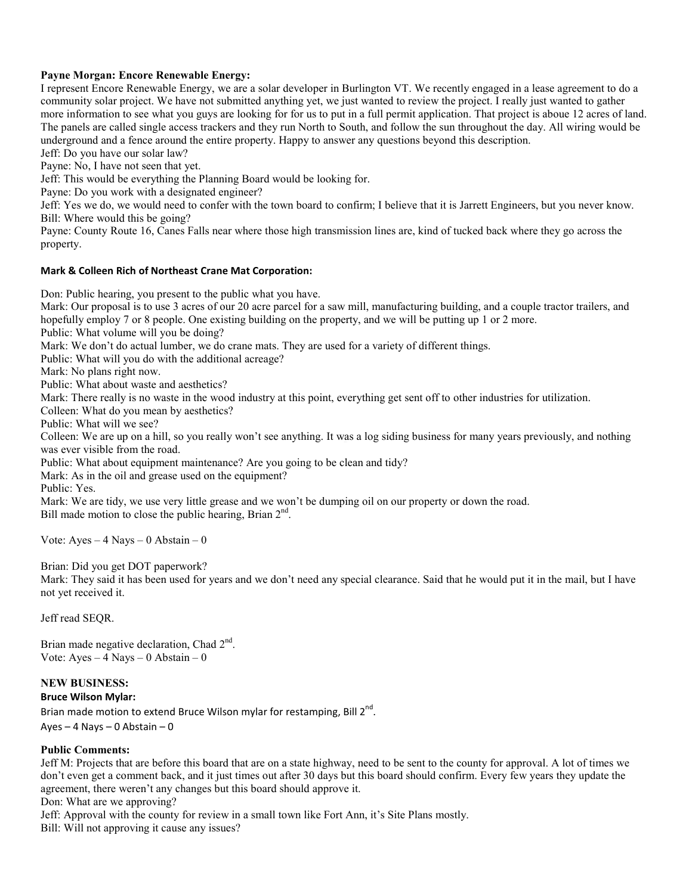# **Payne Morgan: Encore Renewable Energy:**

I represent Encore Renewable Energy, we are a solar developer in Burlington VT. We recently engaged in a lease agreement to do a community solar project. We have not submitted anything yet, we just wanted to review the project. I really just wanted to gather more information to see what you guys are looking for for us to put in a full permit application. That project is aboue 12 acres of land. The panels are called single access trackers and they run North to South, and follow the sun throughout the day. All wiring would be underground and a fence around the entire property. Happy to answer any questions beyond this description.

Jeff: Do you have our solar law?

Payne: No, I have not seen that yet.

Jeff: This would be everything the Planning Board would be looking for.

Payne: Do you work with a designated engineer?

Jeff: Yes we do, we would need to confer with the town board to confirm; I believe that it is Jarrett Engineers, but you never know. Bill: Where would this be going?

Payne: County Route 16, Canes Falls near where those high transmission lines are, kind of tucked back where they go across the property.

## **Mark & Colleen Rich of Northeast Crane Mat Corporation:**

Don: Public hearing, you present to the public what you have.

Mark: Our proposal is to use 3 acres of our 20 acre parcel for a saw mill, manufacturing building, and a couple tractor trailers, and hopefully employ 7 or 8 people. One existing building on the property, and we will be putting up 1 or 2 more.

Public: What volume will you be doing?

Mark: We don't do actual lumber, we do crane mats. They are used for a variety of different things.

Public: What will you do with the additional acreage?

Mark: No plans right now.

Public: What about waste and aesthetics?

Mark: There really is no waste in the wood industry at this point, everything get sent off to other industries for utilization.

Colleen: What do you mean by aesthetics?

Public: What will we see?

Colleen: We are up on a hill, so you really won't see anything. It was a log siding business for many years previously, and nothing was ever visible from the road.

Public: What about equipment maintenance? Are you going to be clean and tidy?

Mark: As in the oil and grease used on the equipment?

Public: Yes.

Mark: We are tidy, we use very little grease and we won't be dumping oil on our property or down the road. Bill made motion to close the public hearing, Brian 2<sup>nd</sup>.

Vote: Ayes – 4 Nays – 0 Abstain – 0

Brian: Did you get DOT paperwork?

Mark: They said it has been used for years and we don't need any special clearance. Said that he would put it in the mail, but I have not yet received it.

Jeff read SEQR.

Brian made negative declaration, Chad 2<sup>nd</sup>. Vote: Ayes  $-4$  Nays  $-0$  Abstain  $-0$ 

# **NEW BUSINESS:**

# **Bruce Wilson Mylar:**

Brian made motion to extend Bruce Wilson mylar for restamping, Bill  $2^{nd}$ . Ayes – 4 Nays – 0 Abstain – 0

# **Public Comments:**

Jeff M: Projects that are before this board that are on a state highway, need to be sent to the county for approval. A lot of times we don't even get a comment back, and it just times out after 30 days but this board should confirm. Every few years they update the agreement, there weren't any changes but this board should approve it.

Don: What are we approving?

Jeff: Approval with the county for review in a small town like Fort Ann, it's Site Plans mostly.

Bill: Will not approving it cause any issues?